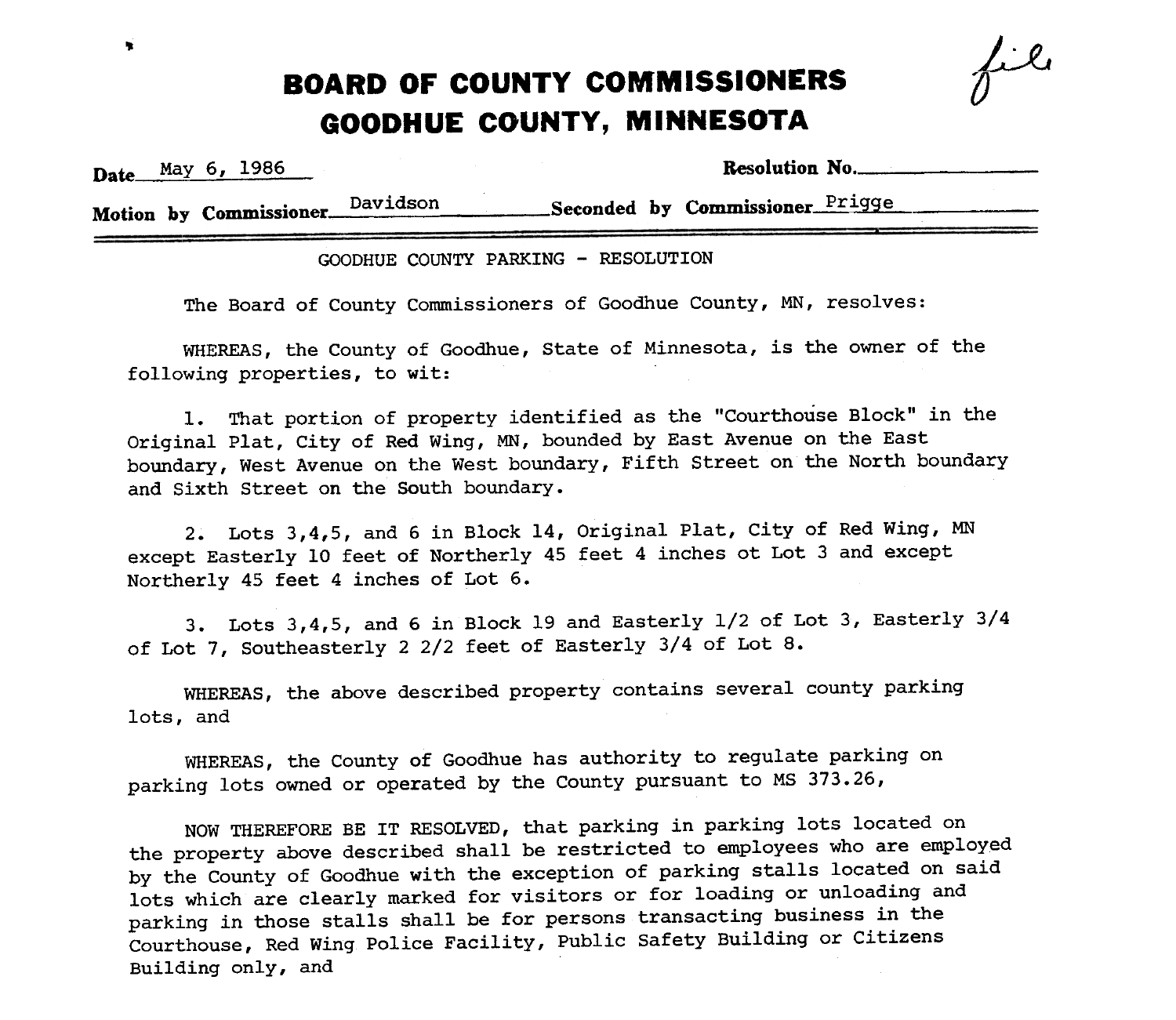## $\cdot$  **BOARD OF COUNTY COMMISSIONERS** GOODHUE COUNTY, MINNESOTA

Date May 6, 1986

|  | Resolution No. |
|--|----------------|
|--|----------------|

 $\boldsymbol{\nu}$ 

Motion by Commissioner Davidson Seconded by Commissioner Prigge

GOODHUE COUNTY PARKING -RESOLUTION

The Board of County Commissioners of Goodhue County, MN, resolves:

WHEREAS, the County of Goodhue, State of Minnesota, is the owner of the following properties, to wit:

1. That portion of property identified as the "Courthouse Block" in the Original Plat, City of Red Wing, MN, bounded by East Avenue on the East boundary, West Avenue on the West boundary, Fifth Street on the North boundary and Sixth Street on the South boundary.

2. Lots 3,4,5, and 6 in Block 14, Original Plat, City of Red Wing, MN except Easterly 10 feet of Northerly 45 feet 4 inches ot Lot 3 and except Northerly 45 feet 4 inches of Lot 6.

3. Lots 3,4,5, and 6 in Block 19 and Easterly 1/2 of Lot 3, Easterly 3/4 of Lot 7, Southeasterly 2 2/2 feet of Easterly 3/4 of Lot 8.

WHEREAS, the above described property contains several county parking lots, and

WHEREAS, the County of Goodhue has authority to regulate parking on parking lots owned or operated by the County pursuant to MS 373.26,

NOW THEREFORE BE IT RESOLVED, that parking in parking lots located on the property above described shall be restricted to employees who are employed by the County of Goodhue with the exception of parking stalls located on said lots which are clearly marked for visitors or for loading or unloading and parking in those stalls shall be for persons transacting business in the Courthouse, Red wing Police Facility, Public Safety Building or Citizens Building only, and